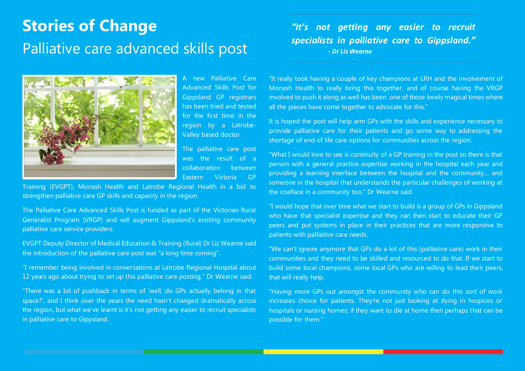## **Stories of Change** Palliative care advanced skills post

A new Palliative Care Advanced Skills Post for Gippsland GP registrars has been tried and tested for the first time in the region by a Latrobe-Valley based doctor.

The palliative care post was the result of a collaboration between Eastern Victoria GP

Training (EVGPT), Monash Health and Latrobe Regional Health in a bid to strengthen palliative care GP skills and capacity in the region.

The Palliative Care Advanced Skills Post is funded as part of the Victorian Rural Generalist Program (VRGP) and will augment Gippsland's existing community palliative care service providers.

EVGPT Deputy Director of Medical Education & Training (Rural) Dr Liz Wearne said the introduction of the palliative care post was "a long time coming".

"I remember being involved in conversations at Latrobe Regional Hospital about 12 years ago about trying to set up this palliative care posting," Dr Wearne said.

"There was a bit of pushback in terms of 'well, do GPs actually belong in that space?', and I think over the years the need hasn't changed dramatically across the region, but what we've learnt is it's not getting any easier to recruit specialists in palliative care to Gippsland.

*"It's not getting any easier to recruit specialists in palliative care to Gippsland." - Dr Liz Wearne*

"It really took having a couple of key champions at LRH and the involvement of Monash Health to really bring this together, and of course having the VRGP involved to push it along as well has been one of those lovely magical times where all the pieces have come together to advocate for this."

It is hoped the post will help arm GPs with the skills and experience necessary to provide palliative care for their patients and go some way to addressing the shortage of end of life care options for communities across the region.

"What I would love to see is continuity of a GP training in the post so there is that person with a general practice expertise working in the hospital each year and providing a learning interface between the hospital and the community… and someone in the hospital that understands the particular challenges of working at the coalface in a community too," Dr Wearne said.

"I would hope that over time what we start to build is a group of GPs in Gippsland who have that specialist expertise and they can then start to educate their GP peers and put systems in place in their practices that are more responsive to patients with palliative care needs.

"We can't ignore anymore that GPs do a lot of this (palliative care) work in their communities and they need to be skilled and resourced to do that. If we start to build some local champions, some local GPs who are willing to lead their peers, that will really help.

"Having more GPs out amongst the community who can do this sort of work increases choice for patients. They're not just looking at dying in hospices or hospitals or nursing homes; if they want to die at home then perhaps that can be possible for them."